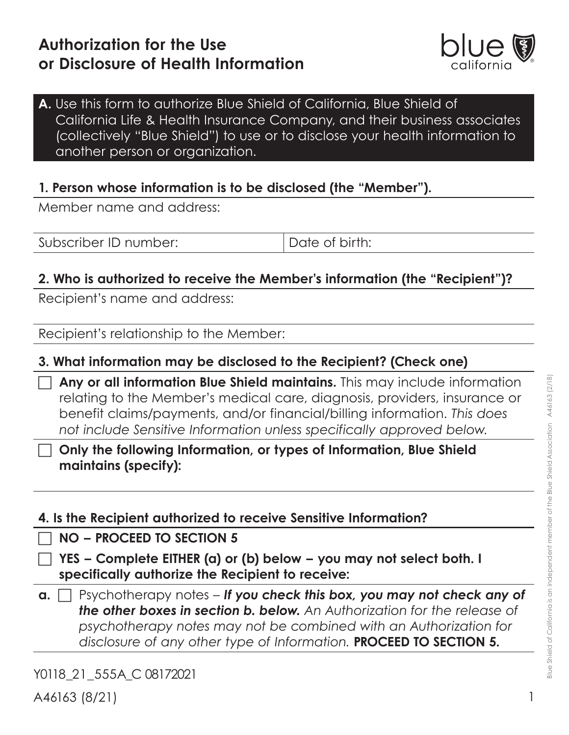

## **A.** Use this form to authorize Blue Shield of California, Blue Shield of California Life & Health Insurance Company, and their business associates (collectively "Blue Shield") to use or to disclose your health information to another person or organization.

## **1. Person whose information is to be disclosed (the "Member").**

Member name and address:

Subscriber ID number:  $\Box$  Date of birth:

# **2. Who is authorized to receive the Member's information (the "Recipient")?**

Recipient's name and address:

Recipient's relationship to the Member:

## **3. What information may be disclosed to the Recipient? (Check one)**

c **Any or all information Blue Shield maintains.** This may include information relating to the Member's medical care, diagnosis, providers, insurance or benefit claims/payments, and/or financial/billing information. *This does not include Sensitive Information unless specifically approved below.*

c **Only the following Information, or types of Information, Blue Shield maintains (specify):**

|  |  |  |  |  | 4. Is the Recipient authorized to receive Sensitive Information? |
|--|--|--|--|--|------------------------------------------------------------------|
|--|--|--|--|--|------------------------------------------------------------------|

c **NO – PROCEED TO SECTION 5**

c **YES – Complete EITHER (a) or (b) below – you may not select both. I specifically authorize the Recipient to receive:**

 $a. \Box$  Psychotherapy notes – If you check this box, you may not check any of *the other boxes in section b. below. An Authorization for the release of psychotherapy notes may not be combined with an Authorization for disclosure of any other type of Information.* **PROCEED TO SECTION 5.**

Y0118 21 555A C 08172021 A46163 (8/21)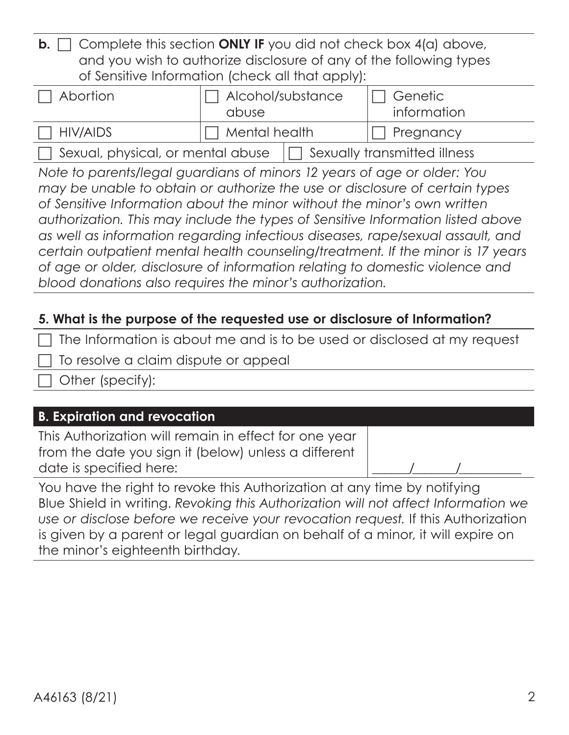|  | <b>b.</b> $\Box$ Complete this section <b>ONLY IF</b> you did not check box 4(a) above, |
|--|-----------------------------------------------------------------------------------------|
|  | and you wish to authorize disclosure of any of the following types                      |
|  | of Sensitive Information (check all that apply):                                        |

| Abortion                          | $\Box$ Alcohol/substance<br>abuse |  | Genetic<br>information       |
|-----------------------------------|-----------------------------------|--|------------------------------|
| HIV/AIDS                          | $\Box$ Mental health              |  | $\Box$ Pregnancy             |
| Sexual, physical, or mental abuse |                                   |  | Sexually transmitted illness |

*Note to parents/legal guardians of minors 12 years of age or older: You may be unable to obtain or authorize the use or disclosure of certain types of Sensitive Information about the minor without the minor's own written authorization. This may include the types of Sensitive Information listed above as well as information regarding infectious diseases, rape/sexual assault, and certain outpatient mental health counseling/treatment. If the minor is 17 years of age or older, disclosure of information relating to domestic violence and blood donations also requires the minor's authorization.*

# **5. What is the purpose of the requested use or disclosure of Information?**

 $\Box$  The Information is about me and is to be used or disclosed at my request

To resolve a claim dispute or appeal

Other (specify):

# **B. Expiration and revocation**

This Authorization will remain in effect for one year from the date you sign it (below) unless a different date is specified here:

You have the right to revoke this Authorization at any time by notifying Blue Shield in writing. *Revoking this Authorization will not affect Information we use or disclose before we receive your revocation request.* If this Authorization is given by a parent or legal guardian on behalf of a minor, it will expire on the minor's eighteenth birthday.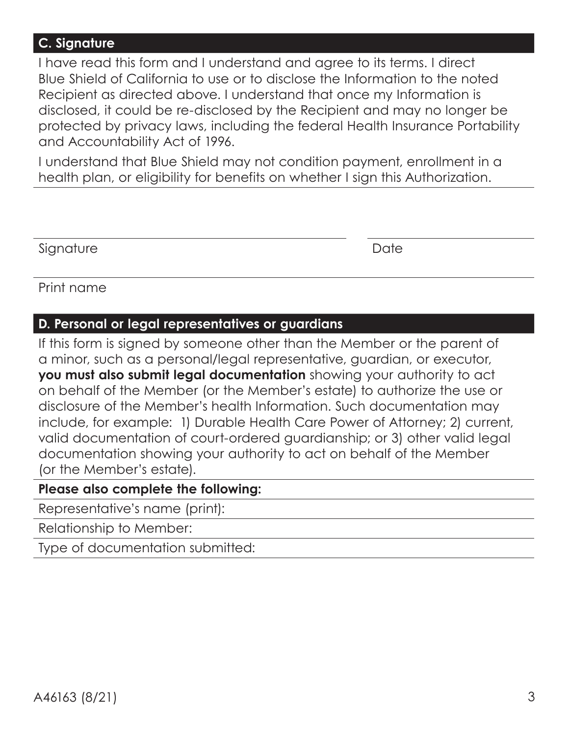#### **C. Signature**

I have read this form and I understand and agree to its terms. I direct Blue Shield of California to use or to disclose the Information to the noted Recipient as directed above. I understand that once my Information is disclosed, it could be re-disclosed by the Recipient and may no longer be protected by privacy laws, including the federal Health Insurance Portability and Accountability Act of 1996.

I understand that Blue Shield may not condition payment, enrollment in a health plan, or eligibility for benefits on whether I sign this Authorization.

Signature Date

Print name

## **D. Personal or legal representatives or guardians**

If this form is signed by someone other than the Member or the parent of a minor, such as a personal/legal representative, guardian, or executor, **you must also submit legal documentation** showing your authority to act on behalf of the Member (or the Member's estate) to authorize the use or disclosure of the Member's health Information. Such documentation may include, for example: 1) Durable Health Care Power of Attorney; 2) current, valid documentation of court-ordered guardianship; or 3) other valid legal documentation showing your authority to act on behalf of the Member (or the Member's estate).

#### **Please also complete the following:**

Representative's name (print):

Relationship to Member:

Type of documentation submitted: